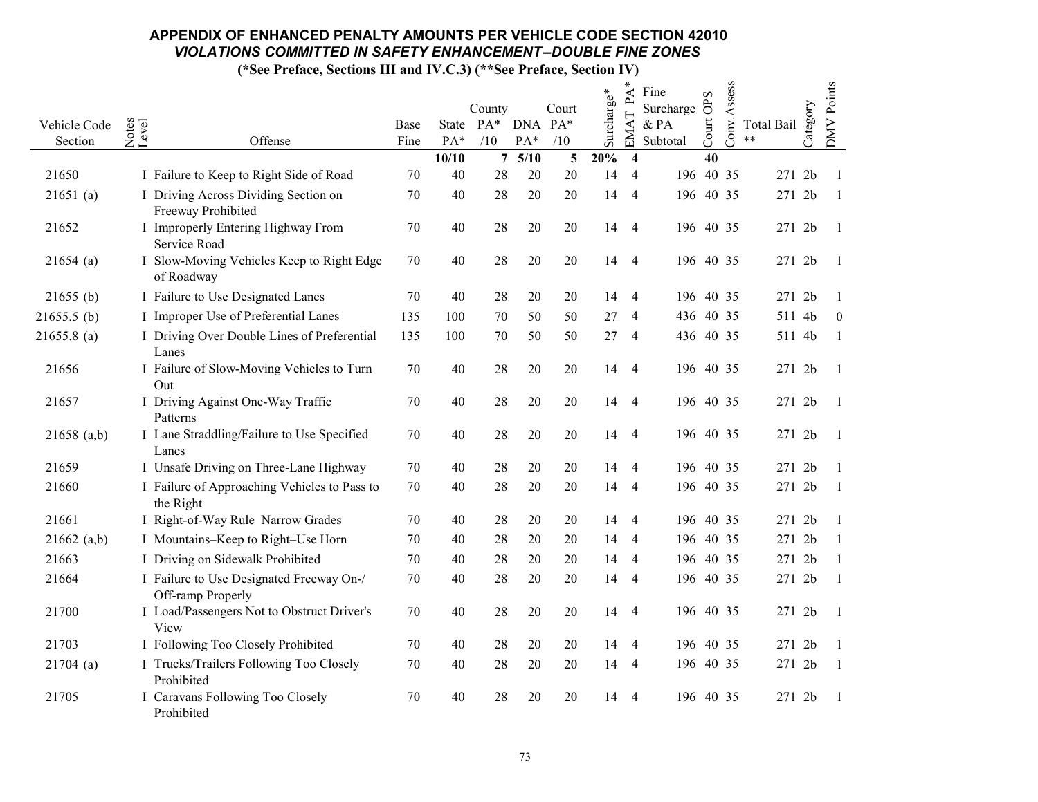|               |                                                               |        |              |                        |             |                       |            | ∗<br>$\mathbf{P}\mathbf{A}$ | Fine      |       |             |                         |          |                   |
|---------------|---------------------------------------------------------------|--------|--------------|------------------------|-------------|-----------------------|------------|-----------------------------|-----------|-------|-------------|-------------------------|----------|-------------------|
|               |                                                               |        |              | County                 |             | Court                 | Surcharge* |                             | Surcharge | OPS   | Conv.Assess |                         | Category | <b>DMV</b> Points |
| Vehicle Code  | Notes<br>Level                                                | Base   |              | State PA* DNA PA*      |             |                       |            | EMAT                        | & PA      | Court |             | <b>Total Bail</b><br>** |          |                   |
| Section       | Offense                                                       | Fine   | PA*<br>10/10 | /10<br>$7\phantom{.0}$ | PA*<br>5/10 | /10<br>$\overline{5}$ | 20%        | $\overline{\mathbf{4}}$     | Subtotal  | 40    |             |                         |          |                   |
| 21650         | I Failure to Keep to Right Side of Road                       | 70     | 40           | 28                     | $20\,$      | 20                    | 14         | $\overline{4}$              | 196 40 35 |       |             | 271 2b                  |          | -1                |
| $21651$ (a)   | I Driving Across Dividing Section on<br>Freeway Prohibited    | 70     | 40           | 28                     | 20          | 20                    | 14         | $\overline{4}$              | 196 40 35 |       |             | 271 2b                  |          | $\overline{1}$    |
| 21652         | I Improperly Entering Highway From<br>Service Road            | 70     | 40           | 28                     | 20          | 20                    | 14         | 4                           | 196 40 35 |       |             | 271 2b                  |          | - 1               |
| $21654$ (a)   | I Slow-Moving Vehicles Keep to Right Edge<br>of Roadway       | 70     | 40           | 28                     | 20          | 20                    | 14         | $\overline{4}$              | 196 40 35 |       |             | 271 2b                  |          | - 1               |
| $21655$ (b)   | I Failure to Use Designated Lanes                             | 70     | 40           | 28                     | $20\,$      | 20                    | 14         | $\overline{4}$              | 196 40 35 |       |             | 271 2b                  |          | -1                |
| $21655.5$ (b) | I Improper Use of Preferential Lanes                          | 135    | 100          | 70                     | 50          | 50                    | 27         | $\overline{4}$              | 436 40 35 |       |             | 511 4b                  |          | $\mathbf{0}$      |
| $21655.8$ (a) | I Driving Over Double Lines of Preferential<br>Lanes          | 135    | 100          | 70                     | 50          | 50                    | 27         | 4                           | 436 40 35 |       |             | 511 4b                  |          | -1                |
| 21656         | I Failure of Slow-Moving Vehicles to Turn<br>Out              | 70     | 40           | 28                     | 20          | 20                    | 14         | 4                           | 196 40 35 |       |             | 271 2b                  |          | -1                |
| 21657         | I Driving Against One-Way Traffic<br>Patterns                 | 70     | 40           | $28\,$                 | 20          | 20                    | 14         | -4                          | 196 40 35 |       |             | 271 2b                  |          | - 1               |
| $21658$ (a,b) | I Lane Straddling/Failure to Use Specified<br>Lanes           | 70     | 40           | 28                     | 20          | 20                    | 14         | $\overline{4}$              | 196 40 35 |       |             | 271 2b                  |          | $\overline{1}$    |
| 21659         | I Unsafe Driving on Three-Lane Highway                        | 70     | 40           | 28                     | $20\,$      | 20                    | 14         | $\overline{4}$              | 196 40 35 |       |             | 271 2b                  |          | - 1               |
| 21660         | I Failure of Approaching Vehicles to Pass to<br>the Right     | 70     | 40           | 28                     | $20\,$      | 20                    | 14         | $\overline{4}$              | 196 40 35 |       |             | 271 2b                  |          | -1                |
| 21661         | I Right-of-Way Rule-Narrow Grades                             | 70     | 40           | 28                     | 20          | 20                    | 14         | $\overline{4}$              | 196 40 35 |       |             | 271 2b                  |          | $\overline{1}$    |
| 21662 (a,b)   | I Mountains-Keep to Right-Use Horn                            | $70\,$ | 40           | 28                     | 20          | 20                    | 14         | 4                           | 196 40 35 |       |             | 271 2b                  |          | -1                |
| 21663         | I Driving on Sidewalk Prohibited                              | 70     | 40           | 28                     | $20\,$      | 20                    | 14         | $\overline{4}$              | 196 40 35 |       |             | 271 2b                  |          | -1                |
| 21664         | I Failure to Use Designated Freeway On-/<br>Off-ramp Properly | 70     | 40           | 28                     | 20          | 20                    | 14         | $\overline{4}$              | 196 40 35 |       |             | 271 2b                  |          | - 1               |
| 21700         | I Load/Passengers Not to Obstruct Driver's<br>View            | 70     | 40           | 28                     | 20          | 20                    | 14         | 4                           | 196 40 35 |       |             | 271 2b                  |          | -1                |
| 21703         | I Following Too Closely Prohibited                            | 70     | 40           | 28                     | 20          | 20                    | 14         | 4                           | 196 40 35 |       |             | 271 2b                  |          | -1                |
| $21704$ (a)   | I Trucks/Trailers Following Too Closely<br>Prohibited         | 70     | 40           | 28                     | 20          | 20                    | 14         | $\overline{4}$              | 196 40 35 |       |             | 271 2b                  |          | $\overline{1}$    |
| 21705         | I Caravans Following Too Closely<br>Prohibited                | 70     | 40           | 28                     | 20          | 20                    | 14         | $\overline{4}$              | 196 40 35 |       |             | 271 2b                  |          | -1                |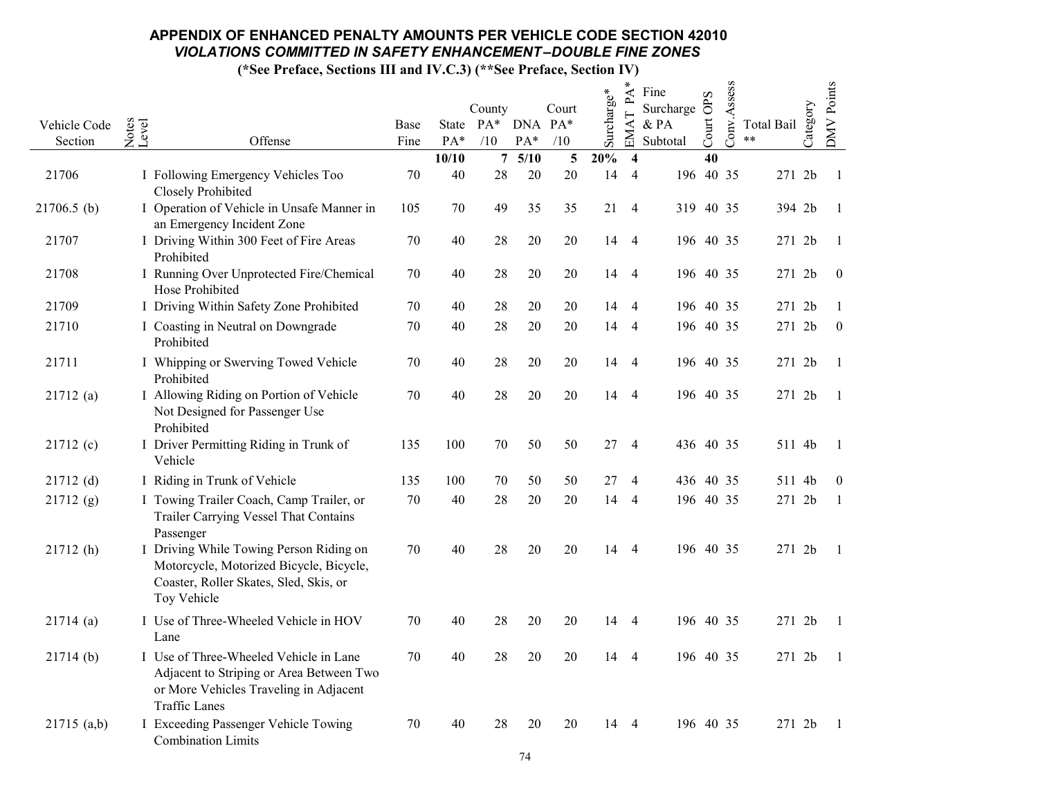|                         |                |                                                                                                                                                      |              |                  |                 |                |                         |            | ∗<br>PA                 | Fine             | S               | Conv.Assess |                  |          | <b>DMV</b> Points |
|-------------------------|----------------|------------------------------------------------------------------------------------------------------------------------------------------------------|--------------|------------------|-----------------|----------------|-------------------------|------------|-------------------------|------------------|-----------------|-------------|------------------|----------|-------------------|
|                         |                |                                                                                                                                                      |              |                  | County          |                | Court                   | Surcharge* |                         | Surcharge        | $\ddot{\sigma}$ |             |                  | Category |                   |
| Vehicle Code<br>Section | Notes<br>Level | Offense                                                                                                                                              | Base<br>Fine | State PA*<br>PA* | /10             | DNA PA*<br>PA* | /10                     |            | EMAT                    | & PA<br>Subtotal | Court           |             | Total Bail<br>** |          |                   |
|                         |                |                                                                                                                                                      |              | 10/10            | $7\overline{ }$ | 5/10           | $\overline{\mathbf{5}}$ | 20%        | $\overline{\mathbf{4}}$ |                  | 40              |             |                  |          |                   |
| 21706                   |                | I Following Emergency Vehicles Too<br>Closely Prohibited                                                                                             | 70           | 40               | $28\,$          | 20             | 20                      | 14         | $\overline{4}$          | 196 40 35        |                 |             | 271 2b           |          | - 1               |
| $21706.5$ (b)           |                | I Operation of Vehicle in Unsafe Manner in<br>an Emergency Incident Zone                                                                             | 105          | 70               | 49              | 35             | 35                      | 21         | $\overline{4}$          | 319 40 35        |                 |             | 394 2b           |          | - 1               |
| 21707                   |                | I Driving Within 300 Feet of Fire Areas<br>Prohibited                                                                                                | 70           | 40               | 28              | 20             | 20                      | 14         | $\overline{4}$          | 196 40 35        |                 |             | 271 2b           |          | - 1               |
| 21708                   |                | I Running Over Unprotected Fire/Chemical<br>Hose Prohibited                                                                                          | 70           | 40               | 28              | 20             | 20                      | 14         | $\overline{4}$          | 196 40 35        |                 |             | 271 2b           |          | $\boldsymbol{0}$  |
| 21709                   |                | I Driving Within Safety Zone Prohibited                                                                                                              | 70           | 40               | 28              | 20             | 20                      | 14         | $\overline{4}$          | 196 40 35        |                 |             | 271 2b           |          | $\overline{1}$    |
| 21710                   |                | I Coasting in Neutral on Downgrade<br>Prohibited                                                                                                     | 70           | 40               | 28              | $20\,$         | $20\,$                  | 14         | $\overline{4}$          | 196 40 35        |                 |             | 271 2b           |          | $\boldsymbol{0}$  |
| 21711                   |                | I Whipping or Swerving Towed Vehicle<br>Prohibited                                                                                                   | 70           | 40               | 28              | 20             | 20                      |            | 14 4                    | 196 40 35        |                 |             | 271 2b           |          | - 1               |
| 21712(a)                |                | I Allowing Riding on Portion of Vehicle<br>Not Designed for Passenger Use<br>Prohibited                                                              | 70           | $40\,$           | 28              | 20             | 20                      | 14         | $\overline{4}$          | 196 40 35        |                 |             | 271 2b           |          | $\blacksquare$    |
| 21712(c)                |                | I Driver Permitting Riding in Trunk of<br>Vehicle                                                                                                    | 135          | 100              | 70              | 50             | 50                      | 27         | $\overline{4}$          | 436 40 35        |                 |             | 511 4b           |          | - 1               |
| $21712$ (d)             |                | I Riding in Trunk of Vehicle                                                                                                                         | 135          | 100              | 70              | 50             | 50                      | 27         | $\overline{4}$          | 436 40 35        |                 |             | 511 4b           |          | $\boldsymbol{0}$  |
| 21712(g)                |                | I Towing Trailer Coach, Camp Trailer, or<br>Trailer Carrying Vessel That Contains<br>Passenger                                                       | 70           | 40               | 28              | 20             | 20                      | 14         | $\overline{4}$          | 196 40 35        |                 |             | 271 2b           |          | -1                |
| 21712(h)                |                | I Driving While Towing Person Riding on<br>Motorcycle, Motorized Bicycle, Bicycle,<br>Coaster, Roller Skates, Sled, Skis, or<br>Toy Vehicle          | 70           | 40               | 28              | 20             | 20                      | 14         | $\overline{4}$          | 196 40 35        |                 |             | 271 2b           |          | $\overline{1}$    |
| 21714(a)                |                | I Use of Three-Wheeled Vehicle in HOV<br>Lane                                                                                                        | 70           | 40               | 28              | 20             | 20                      | 14         | $\overline{4}$          | 196 40 35        |                 |             | 271 2b           |          | - 1               |
| 21714(b)                |                | I Use of Three-Wheeled Vehicle in Lane<br>Adjacent to Striping or Area Between Two<br>or More Vehicles Traveling in Adjacent<br><b>Traffic Lanes</b> | 70           | 40               | 28              | 20             | 20                      | 14         | 4                       | 196 40 35        |                 |             | 271 2b           |          | $\mathbf{1}$      |
| $21715$ (a,b)           |                | I Exceeding Passenger Vehicle Towing<br><b>Combination Limits</b>                                                                                    | 70           | 40               | 28              | 20             | 20                      | 14         | $\overline{4}$          | 196 40 35        |                 |             | 271 2b           |          | - 1               |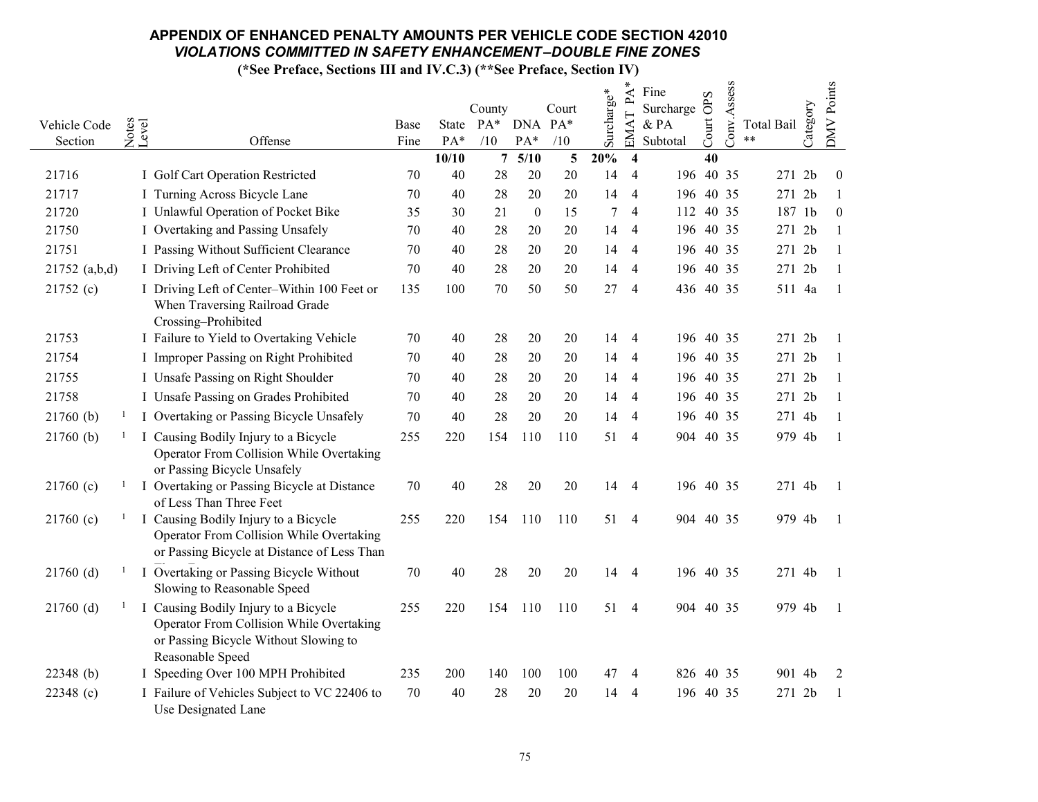|                         |                |                                                                               |              |       |                          |                  |        |            | ∗<br>$\mathbf{P}\mathbf{A}$ | Fine             | OPS   | Conv.Assess |                     |          | DMV Points       |
|-------------------------|----------------|-------------------------------------------------------------------------------|--------------|-------|--------------------------|------------------|--------|------------|-----------------------------|------------------|-------|-------------|---------------------|----------|------------------|
|                         |                |                                                                               |              |       | County                   |                  | Court  | Surcharge* |                             | Surcharge        |       |             |                     | Category |                  |
| Vehicle Code<br>Section | Notes<br>Level | Offense                                                                       | Base<br>Fine | PA*   | State PA* DNA PA*<br>/10 | PA*              | /10    |            | EMAT                        | & PA<br>Subtotal | Court |             | Total Bail<br>$***$ |          |                  |
|                         |                |                                                                               |              | 10/10 | $7\phantom{.0}$          | 5/10             | 5      | 20%        | $\overline{\mathbf{4}}$     |                  | 40    |             |                     |          |                  |
| 21716                   |                | I Golf Cart Operation Restricted                                              | 70           | 40    | 28                       | 20               | $20\,$ | 14         | $\overline{4}$              | 196 40 35        |       |             | 271 2b              |          | $\boldsymbol{0}$ |
| 21717                   |                | I Turning Across Bicycle Lane                                                 | 70           | 40    | 28                       | 20               | 20     | 14         | $\overline{4}$              | 196 40 35        |       |             | 271 2b              |          | -1               |
| 21720                   |                | I Unlawful Operation of Pocket Bike                                           | 35           | 30    | 21                       | $\boldsymbol{0}$ | 15     | $\tau$     | $\overline{4}$              | 112 40 35        |       |             | 187 1b              |          | $\overline{0}$   |
| 21750                   |                | I Overtaking and Passing Unsafely                                             | 70           | 40    | 28                       | 20               | $20\,$ | 14         | 4                           | 196 40 35        |       |             | 271 2b              |          |                  |
| 21751                   |                | I Passing Without Sufficient Clearance                                        | 70           | 40    | 28                       | 20               | 20     | 14         | 4                           | 196 40 35        |       |             | 271 2b              |          | -1               |
| 21752 (a,b,d)           |                | I Driving Left of Center Prohibited                                           | 70           | 40    | 28                       | 20               | 20     | 14         | $\overline{4}$              | 196 40 35        |       |             | 271 2b              |          | -1               |
| 21752(c)                |                | I Driving Left of Center-Within 100 Feet or<br>When Traversing Railroad Grade | 135          | 100   | 70                       | 50               | 50     | 27         | $\overline{4}$              | 436 40 35        |       |             | 511 4a              |          | - 1              |
|                         |                | Crossing-Prohibited                                                           |              |       |                          |                  |        |            |                             |                  |       |             |                     |          |                  |
| 21753                   |                | I Failure to Yield to Overtaking Vehicle                                      | 70           | 40    | 28                       | 20               | 20     | 14         | 4                           | 196 40 35        |       |             | 271 2b              |          | -1               |
| 21754                   |                | I Improper Passing on Right Prohibited                                        | 70           | 40    | 28                       | 20               | 20     | 14         | 4                           | 196 40 35        |       |             | 271 2b              |          |                  |
| 21755                   |                | I Unsafe Passing on Right Shoulder                                            | 70           | 40    | 28                       | 20               | 20     | 14         | 4                           | 196 40 35        |       |             | 271 2b              |          | -1               |
| 21758                   |                | I Unsafe Passing on Grades Prohibited                                         | 70           | 40    | 28                       | 20               | 20     | 14         | 4                           | 196 40 35        |       |             | 271 2b              |          | -1               |
| 21760(b)                |                | I Overtaking or Passing Bicycle Unsafely                                      | 70           | 40    | 28                       | $20\,$           | 20     | 14         | 4                           | 196 40 35        |       |             | 271 4b              |          |                  |
| 21760(b)                | $\mathbf{I}$   | I Causing Bodily Injury to a Bicycle                                          | 255          | 220   | 154                      | 110              | 110    | 51         | 4                           | 904 40 35        |       |             | 979 4b              |          | $\overline{1}$   |
|                         |                | Operator From Collision While Overtaking                                      |              |       |                          |                  |        |            |                             |                  |       |             |                     |          |                  |
|                         |                | or Passing Bicycle Unsafely                                                   |              |       |                          |                  |        |            |                             |                  |       |             |                     |          |                  |
| 21760(c)                |                | I Overtaking or Passing Bicycle at Distance<br>of Less Than Three Feet        | 70           | 40    | 28                       | 20               | 20     | 14         | 4                           | 196 40 35        |       |             | 271 4b              |          | - 1              |
| 21760(c)                |                | I Causing Bodily Injury to a Bicycle                                          | 255          | 220   | 154                      | 110              | 110    | 51         | $\overline{4}$              | 904 40 35        |       |             | 979 4b              |          | -1               |
|                         |                | Operator From Collision While Overtaking                                      |              |       |                          |                  |        |            |                             |                  |       |             |                     |          |                  |
|                         |                | or Passing Bicycle at Distance of Less Than                                   |              |       |                          |                  |        |            |                             |                  |       |             |                     |          |                  |
| $21760$ (d)             |                | I Overtaking or Passing Bicycle Without                                       | 70           | 40    | 28                       | 20               | 20     | 14         | 4                           | 196 40 35        |       |             | 271 4b              |          | - 1              |
|                         |                | Slowing to Reasonable Speed                                                   |              |       |                          |                  |        |            |                             |                  |       |             |                     |          |                  |
| $21760$ (d)             |                | I Causing Bodily Injury to a Bicycle                                          | 255          | 220   | 154                      | 110              | 110    | 51         | $\overline{4}$              | 904 40 35        |       |             | 979 4b              |          | -1               |
|                         |                | Operator From Collision While Overtaking                                      |              |       |                          |                  |        |            |                             |                  |       |             |                     |          |                  |
|                         |                | or Passing Bicycle Without Slowing to                                         |              |       |                          |                  |        |            |                             |                  |       |             |                     |          |                  |
| 22348 (b)               |                | Reasonable Speed<br>I Speeding Over 100 MPH Prohibited                        | 235          | 200   | 140                      | 100              | 100    | 47         | 4                           | 826 40 35        |       |             | 901 4b              |          | 2                |
| 22348 (c)               |                | I Failure of Vehicles Subject to VC 22406 to                                  | 70           | 40    | 28                       | 20               | 20     | 14         | 4                           | 196 40 35        |       |             | 271 2b              |          | -1               |
|                         |                | Use Designated Lane                                                           |              |       |                          |                  |        |            |                             |                  |       |             |                     |          |                  |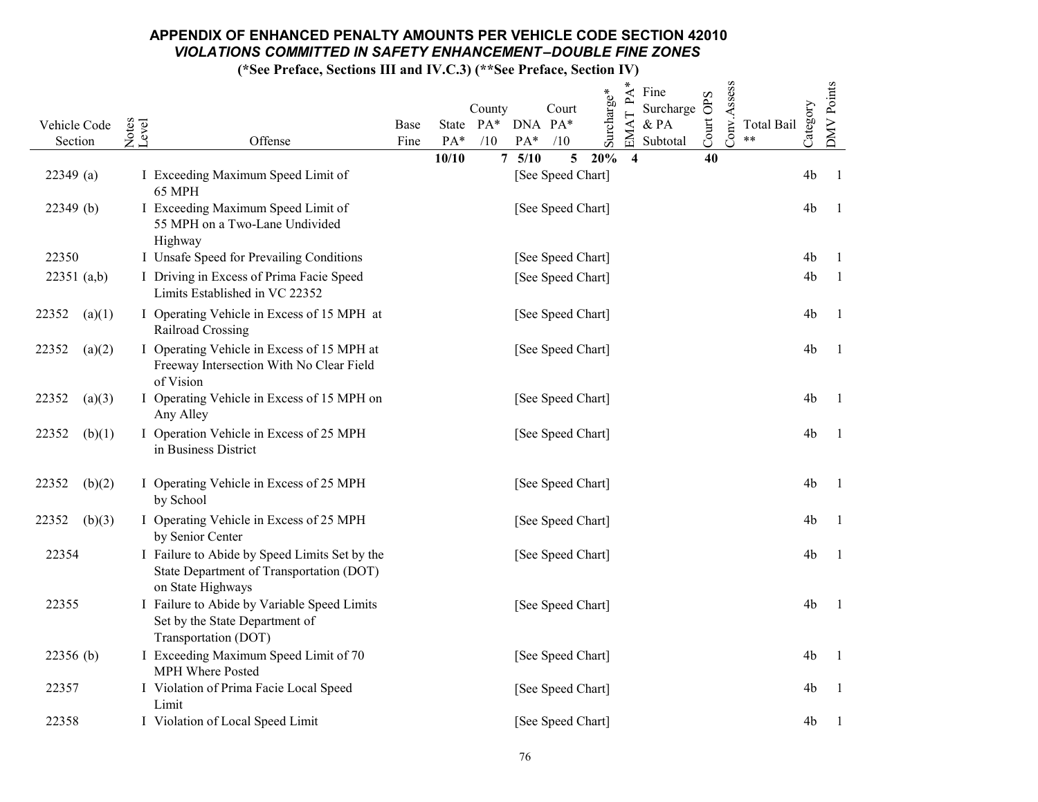|                 |                                                                                                                |                                                                                | $PA^*$<br>Fine<br>OPS                                                                                      |
|-----------------|----------------------------------------------------------------------------------------------------------------|--------------------------------------------------------------------------------|------------------------------------------------------------------------------------------------------------|
| Vehicle Code    | Notes<br>Level                                                                                                 | Surcharge*<br>Court<br>County<br>State PA* DNA PA*<br>Base                     | Conv.Assess<br><b>DMV</b> Points<br>Category<br>Surcharge<br>EMAT<br>Court<br>$\&$ PA<br><b>Total Bail</b> |
| Section         | Offense                                                                                                        | PA*<br>PA*<br>/10<br>/10<br>Fine                                               | $***$<br>Subtotal                                                                                          |
| $22349$ (a)     | I Exceeding Maximum Speed Limit of<br>65 MPH                                                                   | 5/10<br>20%<br>10/10<br>7 <sup>1</sup><br>$5\overline{)}$<br>[See Speed Chart] | 40<br>$\overline{\mathbf{4}}$<br>4 <sub>b</sub><br>- 1                                                     |
| 22349(b)        | I Exceeding Maximum Speed Limit of<br>55 MPH on a Two-Lane Undivided<br>Highway                                | [See Speed Chart]                                                              | 4 <sub>b</sub><br>- 1                                                                                      |
| 22350           | I Unsafe Speed for Prevailing Conditions                                                                       | [See Speed Chart]                                                              | 4b<br>-1                                                                                                   |
| 22351 (a,b)     | I Driving in Excess of Prima Facie Speed<br>Limits Established in VC 22352                                     | [See Speed Chart]                                                              | 4b<br>- 1                                                                                                  |
| (a)(1)<br>22352 | I Operating Vehicle in Excess of 15 MPH at<br>Railroad Crossing                                                | [See Speed Chart]                                                              | 4b<br>- 1                                                                                                  |
| 22352<br>(a)(2) | I Operating Vehicle in Excess of 15 MPH at<br>Freeway Intersection With No Clear Field<br>of Vision            | [See Speed Chart]                                                              | 4 <sub>b</sub><br>- 1                                                                                      |
| 22352<br>(a)(3) | I Operating Vehicle in Excess of 15 MPH on<br>Any Alley                                                        | [See Speed Chart]                                                              | 4 <sub>b</sub><br>- 1                                                                                      |
| 22352<br>(b)(1) | I Operation Vehicle in Excess of 25 MPH<br>in Business District                                                | [See Speed Chart]                                                              | 4b<br>- 1                                                                                                  |
| 22352<br>(b)(2) | I Operating Vehicle in Excess of 25 MPH<br>by School                                                           | [See Speed Chart]                                                              | 4b<br>- 1                                                                                                  |
| 22352<br>(b)(3) | I Operating Vehicle in Excess of 25 MPH<br>by Senior Center                                                    | [See Speed Chart]                                                              | 4b<br>- 1                                                                                                  |
| 22354           | I Failure to Abide by Speed Limits Set by the<br>State Department of Transportation (DOT)<br>on State Highways | [See Speed Chart]                                                              | 4b<br>$\mathbf{l}$                                                                                         |
| 22355           | I Failure to Abide by Variable Speed Limits<br>Set by the State Department of<br>Transportation (DOT)          | [See Speed Chart]                                                              | 4b<br>- 1                                                                                                  |
| $22356$ (b)     | I Exceeding Maximum Speed Limit of 70<br>MPH Where Posted                                                      | [See Speed Chart]                                                              | 4b<br>- 1                                                                                                  |
| 22357           | I Violation of Prima Facie Local Speed<br>Limit                                                                | [See Speed Chart]                                                              | 4b<br>- 1                                                                                                  |
| 22358           | I Violation of Local Speed Limit                                                                               | [See Speed Chart]                                                              | 4b<br>- 1                                                                                                  |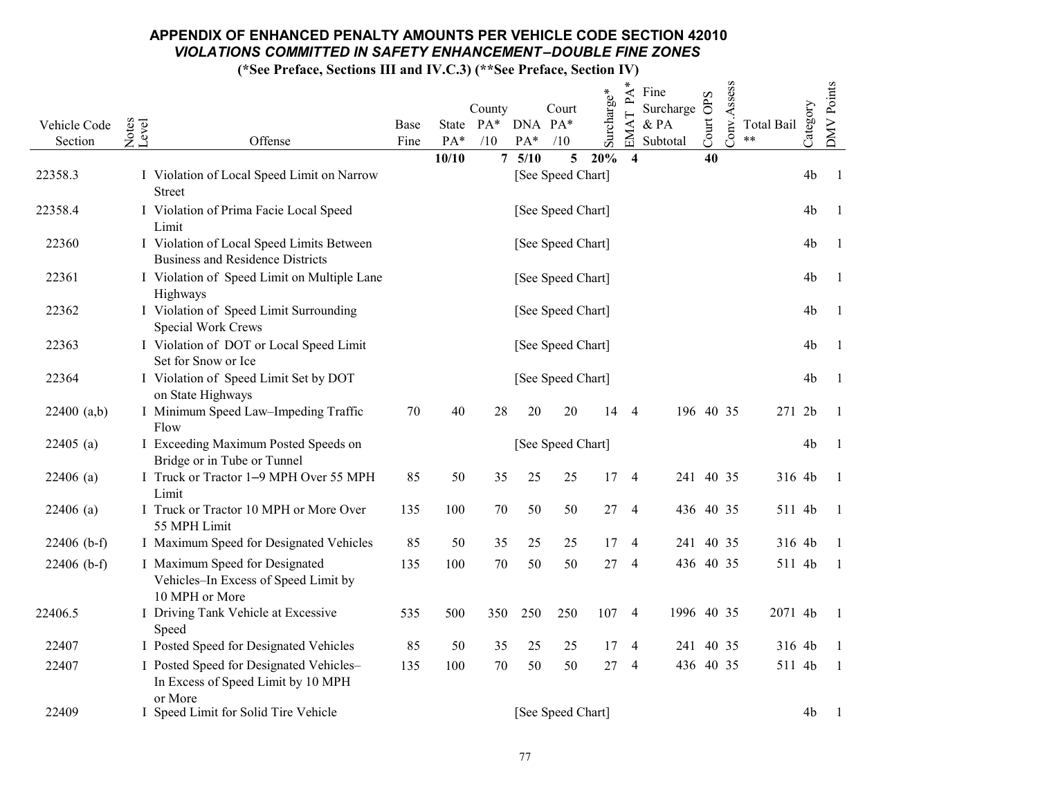|               |                                                                                          |      |       |                             |       |                   |            | $\ast$<br>$\mathbf{P}\mathbf{A}$ | Fine              | OPS   | Conv.Assess |                   |                | DMV Points     |
|---------------|------------------------------------------------------------------------------------------|------|-------|-----------------------------|-------|-------------------|------------|----------------------------------|-------------------|-------|-------------|-------------------|----------------|----------------|
| Vehicle Code  |                                                                                          | Base |       | County<br>State PA* DNA PA* |       | Court             | Surcharge* | EMAT                             | Surcharge<br>& PA |       |             | <b>Total Bail</b> | Category       |                |
| Section       | Notes<br>Level<br>Offense                                                                | Fine | PA*   | /10                         | $PA*$ | /10               |            |                                  | Subtotal          | Court |             | **                |                |                |
|               |                                                                                          |      | 10/10 | 7 <sup>7</sup>              | 5/10  | 5 <sup>5</sup>    | 20%        | $\overline{\mathbf{4}}$          |                   | 40    |             |                   |                |                |
| 22358.3       | I Violation of Local Speed Limit on Narrow<br>Street                                     |      |       |                             |       | [See Speed Chart] |            |                                  |                   |       |             |                   | 4b             | - 1            |
| 22358.4       | I Violation of Prima Facie Local Speed<br>Limit                                          |      |       |                             |       | [See Speed Chart] |            |                                  |                   |       |             |                   | 4b             | -1             |
| 22360         | I Violation of Local Speed Limits Between<br><b>Business and Residence Districts</b>     |      |       |                             |       | [See Speed Chart] |            |                                  |                   |       |             |                   | 4b             | - 1            |
| 22361         | I Violation of Speed Limit on Multiple Lane<br>Highways                                  |      |       |                             |       | [See Speed Chart] |            |                                  |                   |       |             |                   | 4b             | - 1            |
| 22362         | I Violation of Speed Limit Surrounding<br>Special Work Crews                             |      |       |                             |       | [See Speed Chart] |            |                                  |                   |       |             |                   | 4 <sub>b</sub> | - 1            |
| 22363         | I Violation of DOT or Local Speed Limit<br>Set for Snow or Ice                           |      |       |                             |       | [See Speed Chart] |            |                                  |                   |       |             |                   | 4 <sub>b</sub> | - 1            |
| 22364         | I Violation of Speed Limit Set by DOT<br>on State Highways                               |      |       |                             |       | [See Speed Chart] |            |                                  |                   |       |             |                   | 4b             | $\overline{1}$ |
| 22400 (a,b)   | I Minimum Speed Law-Impeding Traffic<br>Flow                                             | 70   | 40    | 28                          | 20    | 20                | 14         | $\overline{4}$                   | 196 40 35         |       |             | 271 2b            |                | $\overline{1}$ |
| $22405$ (a)   | I Exceeding Maximum Posted Speeds on<br>Bridge or in Tube or Tunnel                      |      |       |                             |       | [See Speed Chart] |            |                                  |                   |       |             |                   | 4 <sub>b</sub> | -1             |
| $22406$ (a)   | I Truck or Tractor 1-9 MPH Over 55 MPH<br>Limit                                          | 85   | 50    | 35                          | 25    | 25                | 17         | $\overline{4}$                   | 241 40 35         |       |             | 316 4b            |                | -1             |
| $22406$ (a)   | I Truck or Tractor 10 MPH or More Over<br>55 MPH Limit                                   | 135  | 100   | $70\,$                      | 50    | 50                | 27         | $\overline{4}$                   | 436 40 35         |       |             | 511 4b            |                | -1             |
| $22406$ (b-f) | I Maximum Speed for Designated Vehicles                                                  | 85   | 50    | 35                          | 25    | 25                | 17         | $\overline{4}$                   | 241 40 35         |       |             | 316 4b            |                | $\overline{1}$ |
| $22406$ (b-f) | I Maximum Speed for Designated<br>Vehicles-In Excess of Speed Limit by<br>10 MPH or More | 135  | 100   | 70                          | 50    | 50                | 27         | $\overline{4}$                   | 436 40 35         |       |             | 511 4b            |                | -1             |
| 22406.5       | I Driving Tank Vehicle at Excessive<br>Speed                                             | 535  | 500   | 350                         | 250   | 250               | 107        | $\overline{4}$                   | 1996 40 35        |       |             | 2071 4b           |                | - 1            |
| 22407         | I Posted Speed for Designated Vehicles                                                   | 85   | 50    | 35                          | 25    | 25                | 17         | $\overline{4}$                   | 241 40 35         |       |             | 316 4b            |                | $\overline{1}$ |
| 22407         | I Posted Speed for Designated Vehicles-<br>In Excess of Speed Limit by 10 MPH<br>or More | 135  | 100   | 70                          | 50    | 50                | 27         | $\overline{4}$                   | 436 40 35         |       |             | 511 4b            |                |                |
| 22409         | I Speed Limit for Solid Tire Vehicle                                                     |      |       |                             |       | [See Speed Chart] |            |                                  |                   |       |             |                   | 4 <sub>b</sub> |                |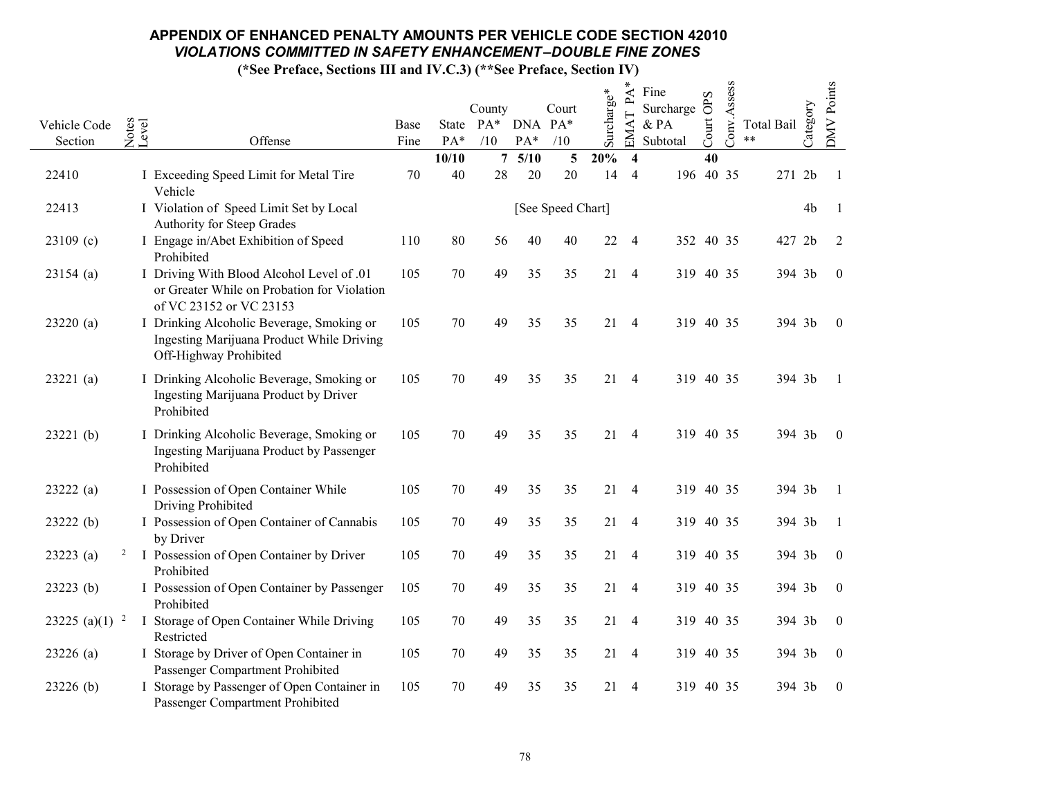|                   |                                                                                                                     |      |       |                             |        |                   |            | ∗<br>$\mathsf{P}\mathsf{A}$ | Fine                | OPS   | Conv.Assess |            |                | <b>DMV</b> Points |
|-------------------|---------------------------------------------------------------------------------------------------------------------|------|-------|-----------------------------|--------|-------------------|------------|-----------------------------|---------------------|-------|-------------|------------|----------------|-------------------|
| Vehicle Code      |                                                                                                                     | Base |       | County<br>State PA* DNA PA* |        | Court             | Surcharge* |                             | Surcharge<br>$&$ PA |       |             | Total Bail | Category       |                   |
| Section           | Notes<br>Level<br>Offense                                                                                           | Fine | PA*   | /10                         | PA*    | /10               |            | <b>EMA</b>                  | Subtotal            | Court |             | **         |                |                   |
|                   |                                                                                                                     |      | 10/10 | $\overline{7}$              | $5/10$ | 5                 | 20%        | 4                           |                     | 40    |             |            |                |                   |
| 22410             | I Exceeding Speed Limit for Metal Tire<br>Vehicle                                                                   | 70   | 40    | $28\,$                      | 20     | 20                | 14         | 4                           | 196 40 35           |       |             | 271 2b     |                | - 1               |
| 22413             | I Violation of Speed Limit Set by Local<br>Authority for Steep Grades                                               |      |       |                             |        | [See Speed Chart] |            |                             |                     |       |             |            | 4 <sub>b</sub> | -1                |
| $23109$ (c)       | I Engage in/Abet Exhibition of Speed<br>Prohibited                                                                  | 110  | 80    | 56                          | 40     | 40                | 22         | $\overline{4}$              | 352 40 35           |       |             | 427        | 2 <sub>b</sub> | 2                 |
| $23154$ (a)       | I Driving With Blood Alcohol Level of .01<br>or Greater While on Probation for Violation<br>of VC 23152 or VC 23153 | 105  | 70    | 49                          | 35     | 35                | 21         | $\overline{4}$              | 319 40 35           |       |             | 394 3b     |                | $\boldsymbol{0}$  |
| 23220(a)          | I Drinking Alcoholic Beverage, Smoking or<br>Ingesting Marijuana Product While Driving<br>Off-Highway Prohibited    | 105  | 70    | 49                          | 35     | 35                | $21 - 4$   |                             | 319 40 35           |       |             | 394 3b     |                | $\overline{0}$    |
| 23221(a)          | I Drinking Alcoholic Beverage, Smoking or<br>Ingesting Marijuana Product by Driver<br>Prohibited                    | 105  | 70    | 49                          | 35     | 35                |            | 21 4                        | 319 40 35           |       |             | 394 3b     |                | $\overline{1}$    |
| 23221(b)          | I Drinking Alcoholic Beverage, Smoking or<br>Ingesting Marijuana Product by Passenger<br>Prohibited                 | 105  | 70    | 49                          | 35     | 35                | 21         | $\overline{4}$              | 319 40 35           |       |             | 394 3b     |                | $\boldsymbol{0}$  |
| 23222(a)          | I Possession of Open Container While<br>Driving Prohibited                                                          | 105  | 70    | 49                          | 35     | 35                | 21         | $\overline{4}$              | 319 40 35           |       |             | 394 3b     |                | -1                |
| 23222(b)          | I Possession of Open Container of Cannabis<br>by Driver                                                             | 105  | 70    | 49                          | 35     | 35                | 21         | $\overline{4}$              | 319 40 35           |       |             | 394 3b     |                | -1                |
| 23223(a)          | <sup>2</sup> I Possession of Open Container by Driver<br>Prohibited                                                 | 105  | 70    | 49                          | 35     | 35                |            | 21 4                        | 319 40 35           |       |             | 394 3b     |                | $\overline{0}$    |
| 23223(b)          | I Possession of Open Container by Passenger<br>Prohibited                                                           | 105  | 70    | 49                          | 35     | 35                |            | 21 4                        | 319 40 35           |       |             | 394 3b     |                | $\bf{0}$          |
| 23225 (a)(1) $^2$ | I Storage of Open Container While Driving<br>Restricted                                                             | 105  | 70    | 49                          | 35     | 35                |            | 21 4                        | 319 40 35           |       |             | 394 3b     |                | $\mathbf{0}$      |
| $23226$ (a)       | I Storage by Driver of Open Container in<br>Passenger Compartment Prohibited                                        | 105  | 70    | 49                          | 35     | 35                | 21         | $\overline{4}$              | 319 40 35           |       |             | 394 3b     |                | $\overline{0}$    |
| 23226(b)          | I Storage by Passenger of Open Container in<br>Passenger Compartment Prohibited                                     | 105  | 70    | 49                          | 35     | 35                | 21         | $\overline{4}$              | 319 40 35           |       |             | 394 3b     |                | $\boldsymbol{0}$  |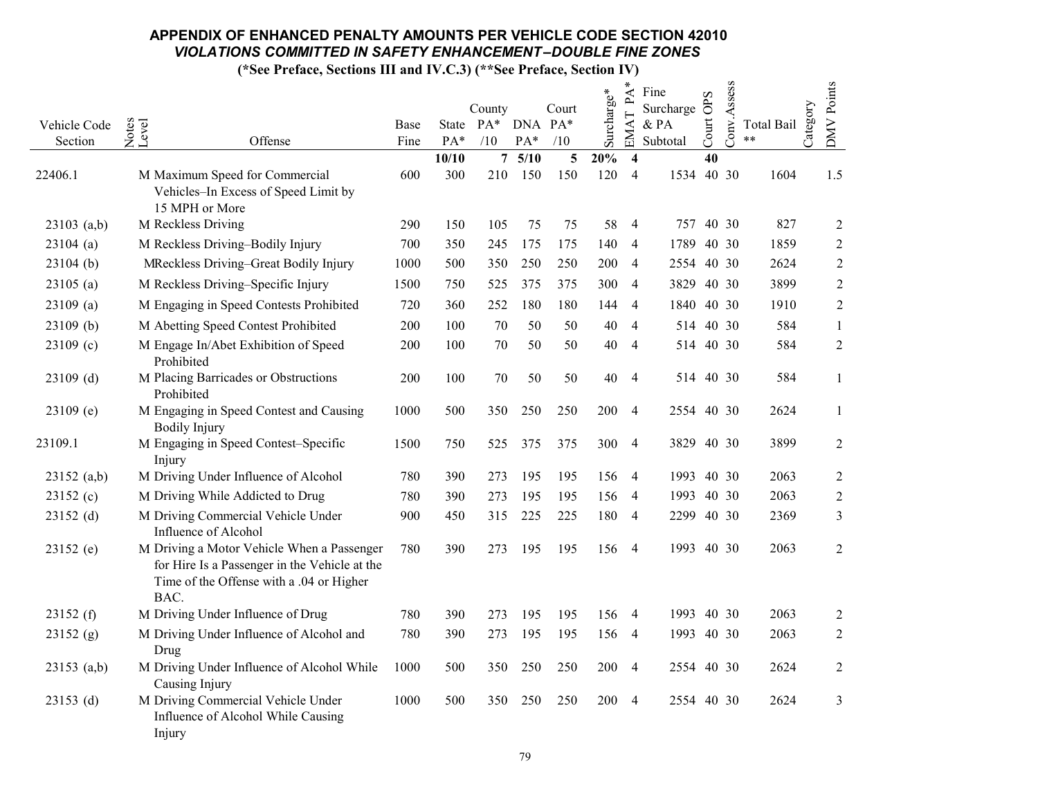|               |                                                                                                                                                 |      |              |                       |             |          |            | ∗<br>$\mathbf{P}\mathbf{A}$               | Fine       | S               |             |                     |          |                |
|---------------|-------------------------------------------------------------------------------------------------------------------------------------------------|------|--------------|-----------------------|-------------|----------|------------|-------------------------------------------|------------|-----------------|-------------|---------------------|----------|----------------|
|               |                                                                                                                                                 |      |              | County                |             | Court    | Surcharge* |                                           | Surcharge  | $\ddot{\sigma}$ | Conv.Assess |                     | Category | DMV Points     |
| Vehicle Code  | Notes<br>Level                                                                                                                                  | Base |              | State PA* DNA PA*     |             |          |            | EMAT                                      | & PA       | Court           |             | Total Bail<br>$***$ |          |                |
| Section       | Offense                                                                                                                                         | Fine | PA*<br>10/10 | /10<br>$\overline{7}$ | PA*<br>5/10 | /10<br>5 | 20%        |                                           | Subtotal   | 40              |             |                     |          |                |
| 22406.1       | M Maximum Speed for Commercial<br>Vehicles-In Excess of Speed Limit by                                                                          | 600  | 300          | 210                   | 150         | 150      | 120        | $\overline{\mathbf{4}}$<br>$\overline{4}$ | 1534 40 30 |                 |             | 1604                |          | 1.5            |
|               | 15 MPH or More                                                                                                                                  |      |              |                       |             |          |            |                                           |            |                 |             |                     |          |                |
| $23103$ (a,b) | M Reckless Driving                                                                                                                              | 290  | 150          | 105                   | 75          | 75       | 58         | $\overline{4}$                            | 757 40 30  |                 |             | 827                 |          | $\overline{2}$ |
| $23104$ (a)   | M Reckless Driving-Bodily Injury                                                                                                                | 700  | 350          | 245                   | 175         | 175      | 140        | $\overline{4}$                            | 1789 40 30 |                 |             | 1859                |          | $\sqrt{2}$     |
| $23104$ (b)   | MReckless Driving-Great Bodily Injury                                                                                                           | 1000 | 500          | 350                   | 250         | 250      | 200        | $\overline{4}$                            | 2554       |                 | 40 30       | 2624                |          | $\overline{2}$ |
| 23105(a)      | M Reckless Driving-Specific Injury                                                                                                              | 1500 | 750          | 525                   | 375         | 375      | 300        | 4                                         | 3829 40 30 |                 |             | 3899                |          | $\overline{2}$ |
| $23109$ (a)   | M Engaging in Speed Contests Prohibited                                                                                                         | 720  | 360          | 252                   | 180         | 180      | 144        | $\overline{4}$                            | 1840 40 30 |                 |             | 1910                |          | $\overline{2}$ |
| 23109 (b)     | M Abetting Speed Contest Prohibited                                                                                                             | 200  | 100          | 70                    | 50          | 50       | 40         | $\overline{4}$                            | 514 40 30  |                 |             | 584                 |          | $\mathbf{1}$   |
| $23109$ (c)   | M Engage In/Abet Exhibition of Speed<br>Prohibited                                                                                              | 200  | 100          | 70                    | 50          | 50       | 40         | 4                                         | 514        |                 | 40 30       | 584                 |          | $\sqrt{2}$     |
| $23109$ (d)   | M Placing Barricades or Obstructions<br>Prohibited                                                                                              | 200  | 100          | 70                    | 50          | 50       | 40         | 4                                         | 514 40 30  |                 |             | 584                 |          | -1             |
| $23109$ (e)   | M Engaging in Speed Contest and Causing<br><b>Bodily Injury</b>                                                                                 | 1000 | 500          | 350                   | 250         | 250      | 200        | $\overline{4}$                            | 2554 40 30 |                 |             | 2624                |          | $\mathbf{1}$   |
| 23109.1       | M Engaging in Speed Contest-Specific<br>Injury                                                                                                  | 1500 | 750          | 525                   | 375         | 375      | 300        | $\overline{4}$                            | 3829 40 30 |                 |             | 3899                |          | $\overline{2}$ |
| 23152 (a,b)   | M Driving Under Influence of Alcohol                                                                                                            | 780  | 390          | 273                   | 195         | 195      | 156        | $\overline{4}$                            | 1993 40 30 |                 |             | 2063                |          | $\overline{2}$ |
| 23152(c)      | M Driving While Addicted to Drug                                                                                                                | 780  | 390          | 273                   | 195         | 195      | 156        | $\overline{4}$                            | 1993 40 30 |                 |             | 2063                |          | $\sqrt{2}$     |
| 23152 (d)     | M Driving Commercial Vehicle Under<br>Influence of Alcohol                                                                                      | 900  | 450          | 315                   | 225         | 225      | 180        | $\overline{4}$                            | 2299 40 30 |                 |             | 2369                |          | $\mathfrak{Z}$ |
| 23152 (e)     | M Driving a Motor Vehicle When a Passenger<br>for Hire Is a Passenger in the Vehicle at the<br>Time of the Offense with a .04 or Higher<br>BAC. | 780  | 390          | 273                   | 195         | 195      | 156        | $\overline{4}$                            | 1993 40 30 |                 |             | 2063                |          | $\overline{2}$ |
| 23152(f)      | M Driving Under Influence of Drug                                                                                                               | 780  | 390          | 273                   | 195         | 195      | 156        | $\overline{4}$                            | 1993 40 30 |                 |             | 2063                |          | $\overline{2}$ |
| 23152(g)      | M Driving Under Influence of Alcohol and<br>Drug                                                                                                | 780  | 390          | 273                   | 195         | 195      | 156        | $\overline{4}$                            | 1993 40 30 |                 |             | 2063                |          | 2              |
| $23153$ (a,b) | M Driving Under Influence of Alcohol While<br>Causing Injury                                                                                    | 1000 | 500          | 350                   | 250         | 250      | 200        | $\overline{4}$                            | 2554 40 30 |                 |             | 2624                |          | $\overline{2}$ |
| $23153$ (d)   | M Driving Commercial Vehicle Under<br>Influence of Alcohol While Causing<br>Injury                                                              | 1000 | 500          | 350                   | 250         | 250      | 200        | $\overline{4}$                            | 2554 40 30 |                 |             | 2624                |          | 3              |